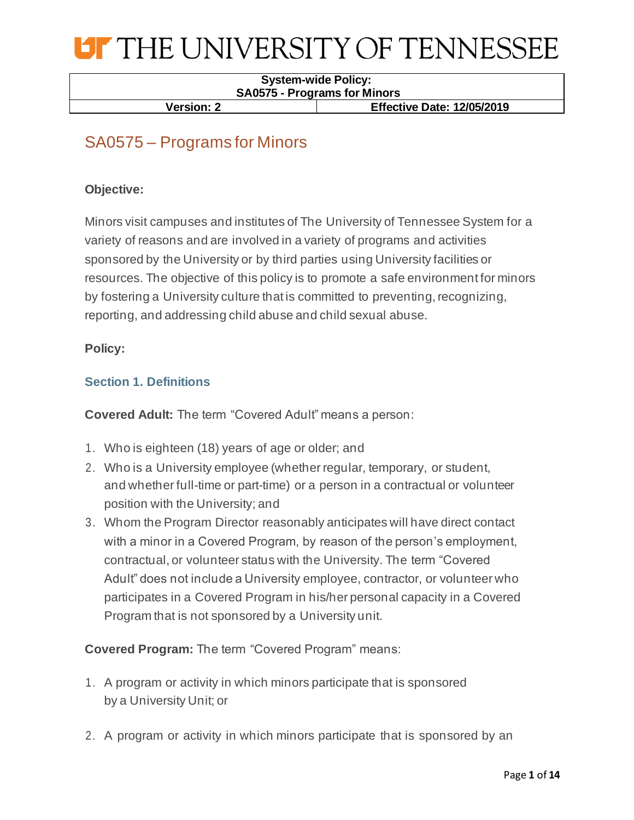

#### **System-wide Policy: SA0575 - Programs for Minors**

**Version: 2 Effective Date: 12/05/2019**

### SA0575 – Programs for Minors

#### **Objective:**

Minors visit campuses and institutes of The University of Tennessee System for a variety of reasons and are involved in a variety of programs and activities sponsored by the University or by third parties using University facilities or resources. The objective of this policy is to promote a safe environment for minors by fostering a University culture that is committed to preventing, recognizing, reporting, and addressing child abuse and child sexual abuse.

#### **Policy:**

#### **Section 1. Definitions**

**Covered Adult:** The term "Covered Adult" means a person:

- 1. Who is eighteen (18) years of age or older; and
- 2. Who is a University employee (whether regular, temporary, or student, and whether full-time or part-time) or a person in a contractual or volunteer position with the University; and
- 3. Whom the Program Director reasonably anticipates will have direct contact with a minor in a Covered Program, by reason of the person's employment, contractual, or volunteer status with the University. The term "Covered Adult" does not include a University employee, contractor, or volunteer who participates in a Covered Program in his/her personal capacity in a Covered Program that is not sponsored by a University unit.

**Covered Program:** The term "Covered Program" means:

- 1. A program or activity in which minors participate that is sponsored by a University Unit; or
- 2. A program or activity in which minors participate that is sponsored by an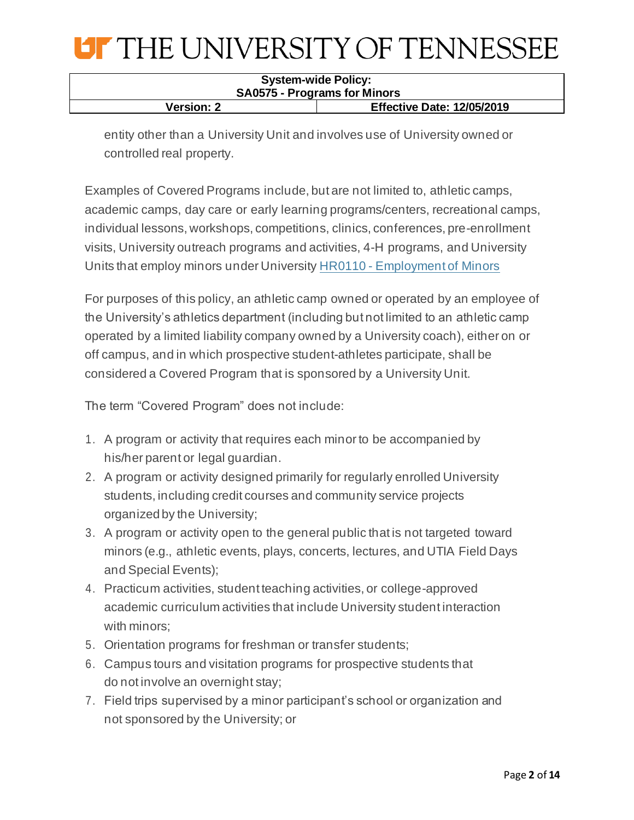| <b>System-wide Policy:</b>          |                                   |
|-------------------------------------|-----------------------------------|
| <b>SA0575 - Programs for Minors</b> |                                   |
| <b>Version: 2</b>                   | <b>Effective Date: 12/05/2019</b> |

entity other than a University Unit and involves use of University owned or controlled real property.

Examples of Covered Programs include, but are not limited to, athletic camps, academic camps, day care or early learning programs/centers, recreational camps, individual lessons, workshops, competitions, clinics, conferences, pre-enrollment visits, University outreach programs and activities, 4-H programs, and University Units that employ minors under University HR0110 - [Employment of Minors](https://universitytennessee.policytech.com/docview/?docid=99&public=true)

For purposes of this policy, an athletic camp owned or operated by an employee of the University's athletics department (including but not limited to an athletic camp operated by a limited liability company owned by a University coach), either on or off campus, and in which prospective student-athletes participate, shall be considered a Covered Program that is sponsored by a University Unit.

The term "Covered Program" does not include:

- 1. A program or activity that requires each minor to be accompanied by his/her parent or legal guardian.
- 2. A program or activity designed primarily for regularly enrolled University students, including credit courses and community service projects organized by the University;
- 3. A program or activity open to the general public that is not targeted toward minors (e.g., athletic events, plays, concerts, lectures, and UTIA Field Days and Special Events);
- 4. Practicum activities, student teaching activities, or college-approved academic curriculum activities that include University student interaction with minors;
- 5. Orientation programs for freshman or transfer students;
- 6. Campus tours and visitation programs for prospective students that do not involve an overnight stay;
- 7. Field trips supervised by a minor participant's school or organization and not sponsored by the University; or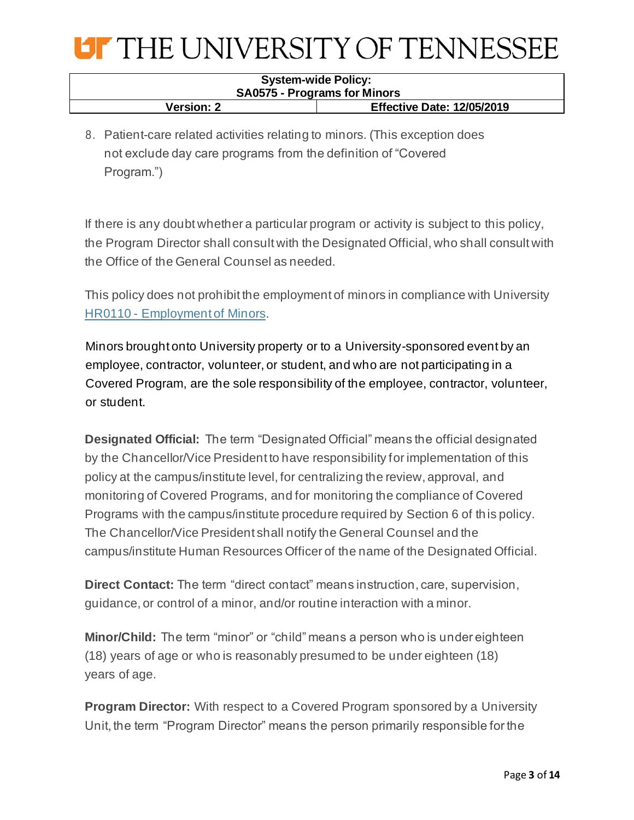

| <b>System-wide Policy:</b>          |                                   |
|-------------------------------------|-----------------------------------|
| <b>SA0575 - Programs for Minors</b> |                                   |
| <b>Version: 2</b>                   | <b>Effective Date: 12/05/2019</b> |

8. Patient-care related activities relating to minors. (This exception does not exclude day care programs from the definition of "Covered Program.")

If there is any doubt whether a particular program or activity is subject to this policy, the Program Director shall consult with the Designated Official, who shall consult with the Office of the General Counsel as needed.

This policy does not prohibit the employment of minors in compliance with University HR0110 - [Employment of Minors.](https://universitytennessee.policytech.com/docview/?docid=99&public=true)

Minors brought onto University property or to a University-sponsored event by an employee, contractor, volunteer, or student, and who are not participating in a Covered Program, are the sole responsibility of the employee, contractor, volunteer, or student.

**Designated Official:** The term "Designated Official" means the official designated by the Chancellor/Vice President to have responsibility for implementation of this policy at the campus/institute level, for centralizing the review, approval, and monitoring of Covered Programs, and for monitoring the compliance of Covered Programs with the campus/institute procedure required by Section 6 of this policy. The Chancellor/Vice President shall notify the General Counsel and the campus/institute Human Resources Officer of the name of the Designated Official.

**Direct Contact:** The term "direct contact" means instruction, care, supervision, guidance, or control of a minor, and/or routine interaction with a minor.

**Minor/Child:** The term "minor" or "child" means a person who is under eighteen (18) years of age or who is reasonably presumed to be under eighteen (18) years of age.

**Program Director:** With respect to a Covered Program sponsored by a University Unit, the term "Program Director" means the person primarily responsible for the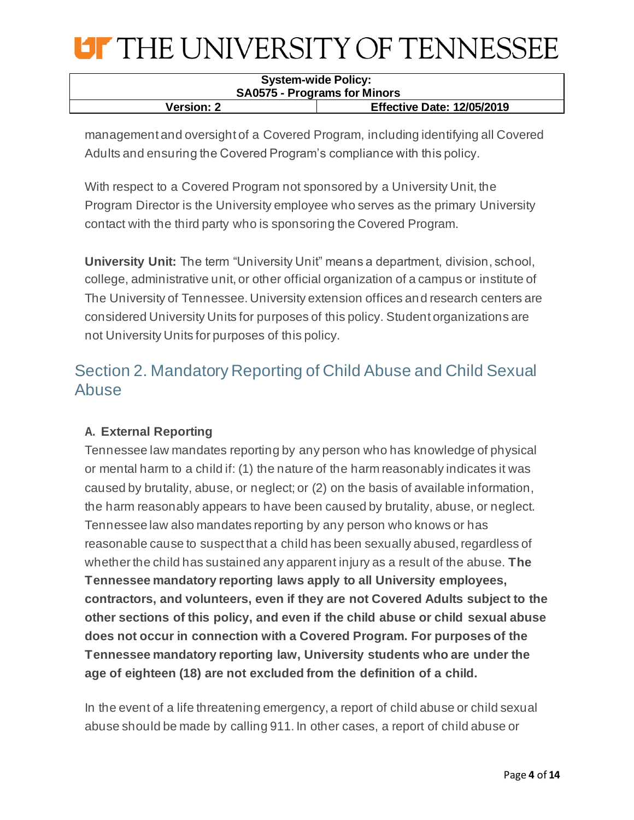| <b>System-wide Policy:</b>          |                                   |
|-------------------------------------|-----------------------------------|
| <b>SA0575 - Programs for Minors</b> |                                   |
| <b>Version: 2</b>                   | <b>Effective Date: 12/05/2019</b> |

management and oversight of a Covered Program, including identifying all Covered Adults and ensuring the Covered Program's compliance with this policy.

With respect to a Covered Program not sponsored by a University Unit, the Program Director is the University employee who serves as the primary University contact with the third party who is sponsoring the Covered Program.

**University Unit:** The term "University Unit" means a department, division, school, college, administrative unit, or other official organization of a campus or institute of The University of Tennessee. University extension offices and research centers are considered University Units for purposes of this policy. Student organizations are not University Units for purposes of this policy.

### Section 2. Mandatory Reporting of Child Abuse and Child Sexual Abuse

#### **A. External Reporting**

Tennessee law mandates reporting by any person who has knowledge of physical or mental harm to a child if: (1) the nature of the harm reasonably indicates it was caused by brutality, abuse, or neglect; or (2) on the basis of available information, the harm reasonably appears to have been caused by brutality, abuse, or neglect. Tennessee law also mandates reporting by any person who knows or has reasonable cause to suspect that a child has been sexually abused, regardless of whether the child has sustained any apparent injury as a result of the abuse. **The Tennessee mandatory reporting laws apply to all University employees, contractors, and volunteers, even if they are not Covered Adults subject to the other sections of this policy, and even if the child abuse or child sexual abuse does not occur in connection with a Covered Program. For purposes of the Tennessee mandatory reporting law, University students who are under the age of eighteen (18) are not excluded from the definition of a child.**

In the event of a life threatening emergency, a report of child abuse or child sexual abuse should be made by calling 911. In other cases, a report of child abuse or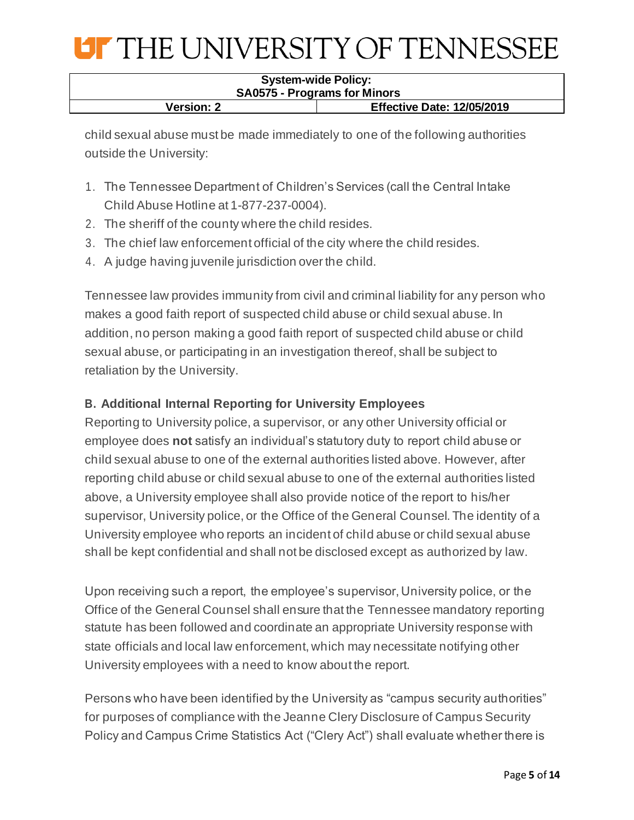| <b>System-wide Policy:</b>                             |  |
|--------------------------------------------------------|--|
| <b>SA0575 - Programs for Minors</b>                    |  |
| <b>Effective Date: 12/05/2019</b><br><b>Version: 2</b> |  |

child sexual abuse must be made immediately to one of the following authorities outside the University:

- 1. The Tennessee Department of Children's Services (call the Central Intake Child Abuse Hotline at 1-877-237-0004).
- 2. The sheriff of the county where the child resides.
- 3. The chief law enforcement official of the city where the child resides.
- 4. A judge having juvenile jurisdiction over the child.

Tennessee law provides immunity from civil and criminal liability for any person who makes a good faith report of suspected child abuse or child sexual abuse. In addition, no person making a good faith report of suspected child abuse or child sexual abuse, or participating in an investigation thereof, shall be subject to retaliation by the University.

#### **B. Additional Internal Reporting for University Employees**

Reporting to University police, a supervisor, or any other University official or employee does **not** satisfy an individual's statutory duty to report child abuse or child sexual abuse to one of the external authorities listed above. However, after reporting child abuse or child sexual abuse to one of the external authorities listed above, a University employee shall also provide notice of the report to his/her supervisor, University police, or the Office of the General Counsel. The identity of a University employee who reports an incident of child abuse or child sexual abuse shall be kept confidential and shall not be disclosed except as authorized by law.

Upon receiving such a report, the employee's supervisor, University police, or the Office of the General Counsel shall ensure that the Tennessee mandatory reporting statute has been followed and coordinate an appropriate University response with state officials and local law enforcement, which may necessitate notifying other University employees with a need to know about the report.

Persons who have been identified by the University as "campus security authorities" for purposes of compliance with the Jeanne Clery Disclosure of Campus Security Policy and Campus Crime Statistics Act ("Clery Act") shall evaluate whether there is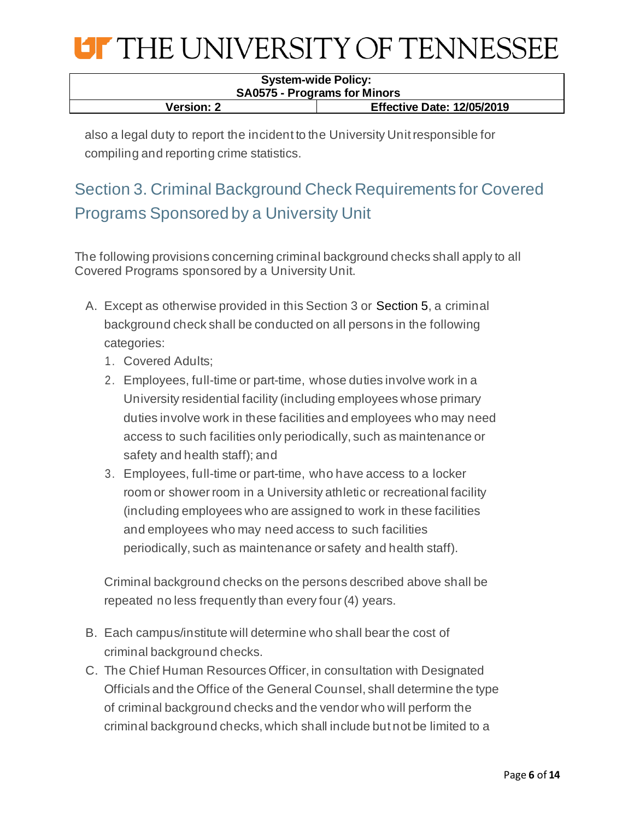| <b>System-wide Policy:</b><br><b>SA0575 - Programs for Minors</b> |  |
|-------------------------------------------------------------------|--|
| <b>Effective Date: 12/05/2019</b><br><b>Version: 2</b>            |  |

also a legal duty to report the incident to the University Unit responsible for compiling and reporting crime statistics.

## Section 3. Criminal Background Check Requirements for Covered Programs Sponsored by a University Unit

The following provisions concerning criminal background checks shall apply to all Covered Programs sponsored by a University Unit.

- A. Except as otherwise provided in this Section 3 or Section 5, a criminal background check shall be conducted on all persons in the following categories:
	- 1. Covered Adults;
	- 2. Employees, full-time or part-time, whose duties involve work in a University residential facility (including employees whose primary duties involve work in these facilities and employees who may need access to such facilities only periodically, such as maintenance or safety and health staff); and
	- 3. Employees, full-time or part-time, who have access to a locker room or shower room in a University athletic or recreational facility (including employees who are assigned to work in these facilities and employees who may need access to such facilities periodically, such as maintenance or safety and health staff).

Criminal background checks on the persons described above shall be repeated no less frequently than every four (4) years.

- B. Each campus/institute will determine who shall bear the cost of criminal background checks.
- C. The Chief Human Resources Officer, in consultation with Designated Officials and the Office of the General Counsel, shall determine the type of criminal background checks and the vendor who will perform the criminal background checks, which shall include but not be limited to a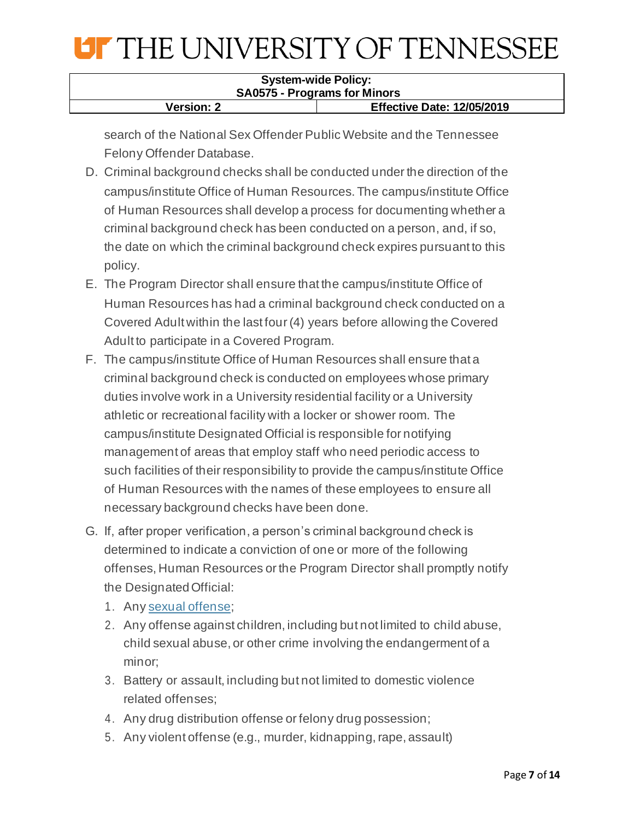| <b>System-wide Policy:</b>                             |  |
|--------------------------------------------------------|--|
| <b>SA0575 - Programs for Minors</b>                    |  |
| <b>Effective Date: 12/05/2019</b><br><b>Version: 2</b> |  |

search of the National Sex Offender Public Website and the Tennessee Felony Offender Database.

- D. Criminal background checks shall be conducted under the direction of the campus/institute Office of Human Resources. The campus/institute Office of Human Resources shall develop a process for documenting whether a criminal background check has been conducted on a person, and, if so, the date on which the criminal background check expires pursuant to this policy.
- E. The Program Director shall ensure that the campus/institute Office of Human Resources has had a criminal background check conducted on a Covered Adult within the last four (4) years before allowing the Covered Adult to participate in a Covered Program.
- F. The campus/institute Office of Human Resources shall ensure that a criminal background check is conducted on employees whose primary duties involve work in a University residential facility or a University athletic or recreational facility with a locker or shower room. The campus/institute Designated Official is responsible for notifying management of areas that employ staff who need periodic access to such facilities of their responsibility to provide the campus/institute Office of Human Resources with the names of these employees to ensure all necessary background checks have been done.
- G. If, after proper verification, a person's criminal background check is determined to indicate a conviction of one or more of the following offenses, Human Resources or the Program Director shall promptly notify the DesignatedOfficial:
	- 1. Any sexual [offense](https://sor.tbi.tn.gov/SOMainpg.aspx);
	- 2. Any offense against children, including but not limited to child abuse, child sexual abuse, or other crime involving the endangerment of a minor;
	- 3. Battery or assault, including but not limited to domestic violence related offenses;
	- 4. Any drug distribution offense or felony drug possession;
	- 5. Any violent offense (e.g., murder, kidnapping, rape, assault)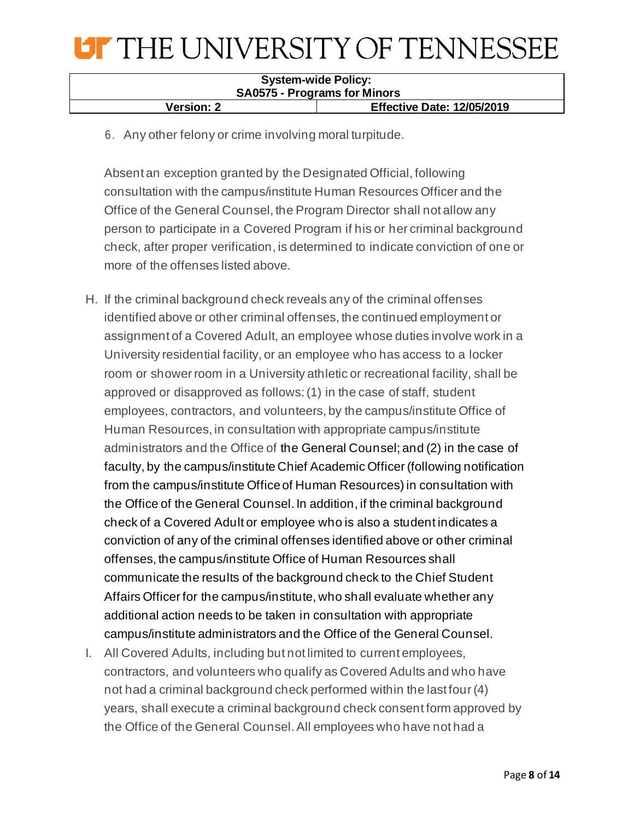| <b>System-wide Policy:</b><br><b>SA0575 - Programs for Minors</b> |  |
|-------------------------------------------------------------------|--|
| <b>Effective Date: 12/05/2019</b><br><b>Version: 2</b>            |  |

6. Any other felony or crime involving moral turpitude.

Absent an exception granted by the Designated Official, following consultation with the campus/institute Human Resources Officer and the Office of the General Counsel, the Program Director shall not allow any person to participate in a Covered Program if his or her criminal background check, after proper verification, is determined to indicate conviction of one or more of the offenses listed above.

- H. If the criminal background check reveals any of the criminal offenses identified above or other criminal offenses, the continued employment or assignment of a Covered Adult, an employee whose duties involve work in a University residential facility, or an employee who has access to a locker room or shower room in a University athletic or recreational facility, shall be approved or disapproved as follows: (1) in the case of staff, student employees, contractors, and volunteers, by the campus/institute Office of Human Resources, in consultation with appropriate campus/institute administrators and the Office of the General Counsel; and (2) in the case of faculty, by the campus/institute Chief Academic Officer (following notification from the campus/institute Officeof Human Resources) in consultation with the Office of the General Counsel. In addition, if the criminal background check of a Covered Adult or employee who is also a student indicates a conviction of any of the criminal offenses identified above or other criminal offenses, the campus/institute Office of Human Resources shall communicate the results of the background check to the Chief Student Affairs Officer for the campus/institute, who shall evaluate whether any additional action needs to be taken in consultation with appropriate campus/institute administrators and the Office of the General Counsel.
- I. All Covered Adults, including but not limited to current employees, contractors, and volunteers who qualify as Covered Adults and who have not had a criminal background check performed within the last four (4) years, shall execute a criminal background check consent form approved by the Office of the General Counsel. All employees who have not had a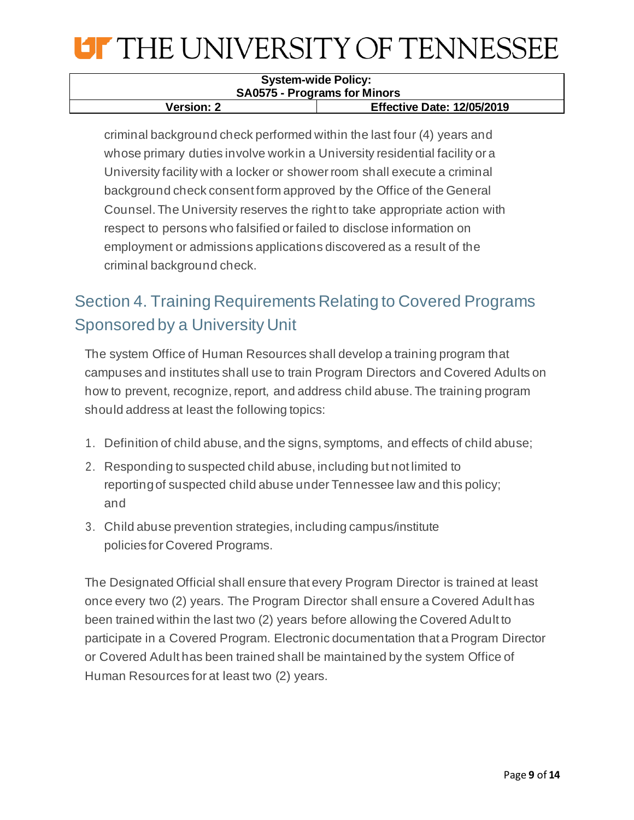| <b>System-wide Policy:</b>                             |  |
|--------------------------------------------------------|--|
| <b>SA0575 - Programs for Minors</b>                    |  |
| <b>Effective Date: 12/05/2019</b><br><b>Version: 2</b> |  |

criminal background check performed within the last four (4) years and whose primary duties involve workin a University residential facility or a University facility with a locker or shower room shall execute a criminal background check consent form approved by the Office of the General Counsel. The University reserves the right to take appropriate action with respect to persons who falsified or failed to disclose information on employment or admissions applications discovered as a result of the criminal background check.

## Section 4. Training Requirements Relating to Covered Programs Sponsored by a University Unit

The system Office of Human Resources shall develop a training program that campuses and institutes shall use to train Program Directors and Covered Adults on how to prevent, recognize, report, and address child abuse. The training program should address at least the following topics:

- 1. Definition of child abuse, and the signs, symptoms, and effects of child abuse;
- 2. Responding to suspected child abuse, including but not limited to reportingof suspected child abuse under Tennessee law and this policy; and
- 3. Child abuse prevention strategies, including campus/institute policies for Covered Programs.

The Designated Official shall ensure that every Program Director is trained at least once every two (2) years. The Program Director shall ensure a Covered Adult has been trained within the last two (2) years before allowing the Covered Adult to participate in a Covered Program. Electronic documentation that a Program Director or Covered Adult has been trained shall be maintained by the system Office of Human Resources for at least two (2) years.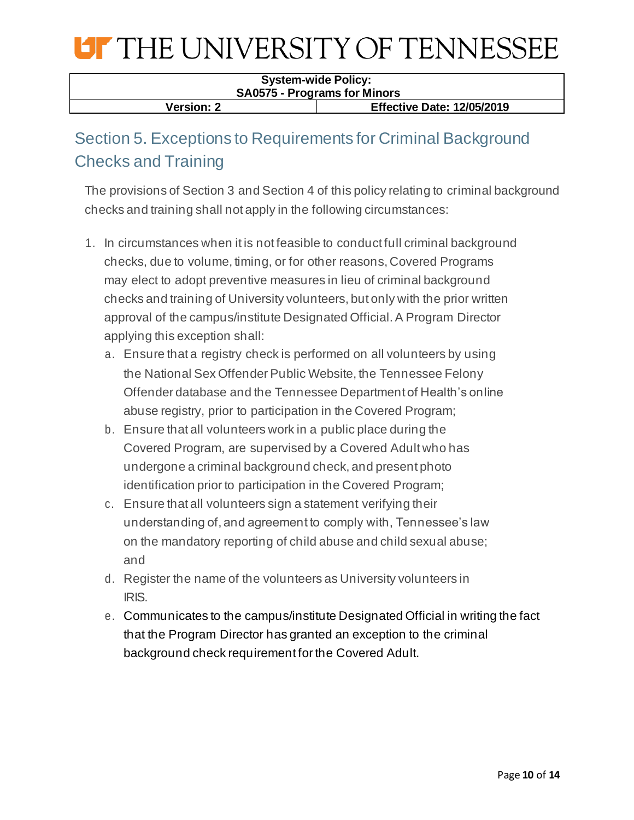#### **System-wide Policy: SA0575 - Programs for Minors Version: 2 Effective Date: 12/05/2019**

## Section 5. Exceptions to Requirements for Criminal Background Checks and Training

The provisions of Section 3 and Section 4 of this policy relating to criminal background checks and training shall not apply in the following circumstances:

- 1. In circumstances when it is not feasible to conduct full criminal background checks, due to volume, timing, or for other reasons, Covered Programs may elect to adopt preventive measures in lieu of criminal background checks and training of University volunteers, but only with the prior written approval of the campus/institute Designated Official. A Program Director applying this exception shall:
	- a. Ensure that a registry check is performed on all volunteers by using the National Sex Offender Public Website, the Tennessee Felony Offender database and the Tennessee Department of Health's online abuse registry, prior to participation in the Covered Program;
	- b. Ensure that all volunteers work in a public place during the Covered Program, are supervised by a Covered Adult who has undergone a criminal background check, and present photo identification prior to participation in the Covered Program;
	- c. Ensure that all volunteers sign a statement verifying their understanding of, and agreement to comply with, Tennessee's law on the mandatory reporting of child abuse and child sexual abuse; and
	- d. Register the name of the volunteers as University volunteers in IRIS.
	- e. Communicates to the campus/institute Designated Official in writing the fact that the Program Director has granted an exception to the criminal background check requirement for the Covered Adult.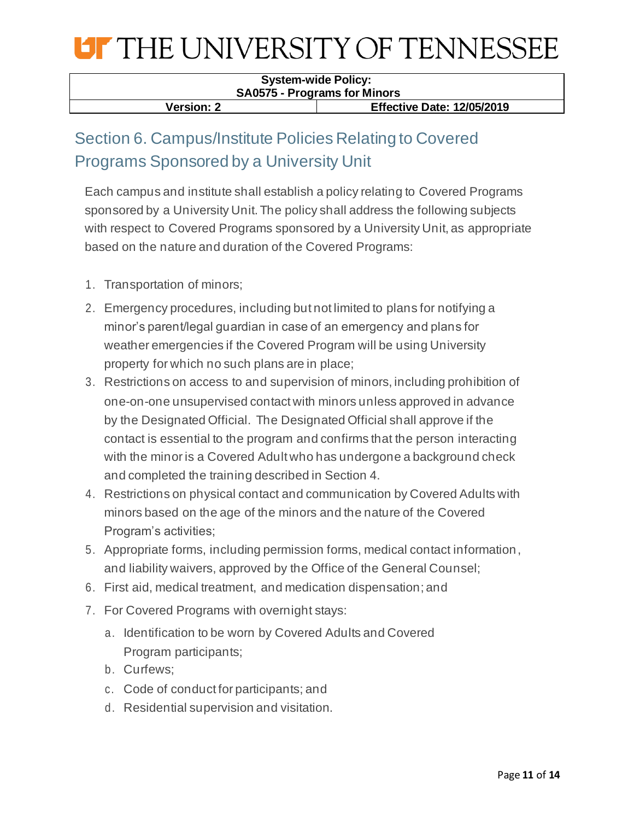

#### **System-wide Policy: SA0575 - Programs for Minors Version: 2 Effective Date: 12/05/2019**

## Section 6. Campus/Institute Policies Relating to Covered Programs Sponsored by a University Unit

Each campus and institute shall establish a policy relating to Covered Programs sponsored by a University Unit. The policy shall address the following subjects with respect to Covered Programs sponsored by a University Unit, as appropriate based on the nature and duration of the Covered Programs:

- 1. Transportation of minors;
- 2. Emergency procedures, including but not limited to plans for notifying a minor's parent/legal guardian in case of an emergency and plans for weather emergencies if the Covered Program will be using University property for which no such plans are in place;
- 3. Restrictions on access to and supervision of minors, including prohibition of one-on-one unsupervised contact with minors unless approved in advance by the Designated Official. The Designated Official shall approve if the contact is essential to the program and confirms that the person interacting with the minor is a Covered Adult who has undergone a background check and completed the training described in Section 4.
- 4. Restrictions on physical contact and communication by Covered Adults with minors based on the age of the minors and the nature of the Covered Program's activities;
- 5. Appropriate forms, including permission forms, medical contact information, and liability waivers, approved by the Office of the General Counsel;
- 6. First aid, medical treatment, and medication dispensation; and
- 7. For Covered Programs with overnight stays:
	- a. Identification to be worn by Covered Adults and Covered Program participants;
	- b. Curfews;
	- c. Code of conduct for participants; and
	- d. Residential supervision and visitation.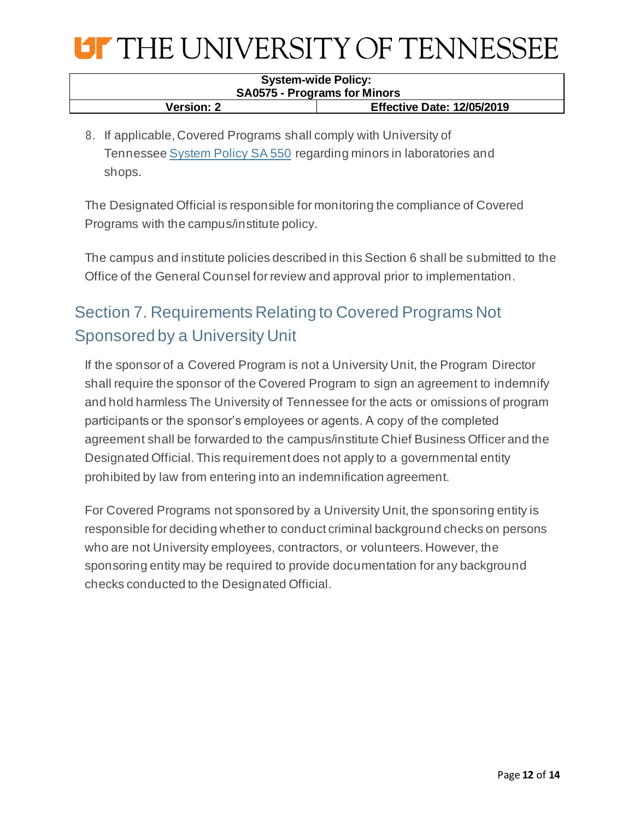

| <b>System-wide Policy:</b>          |                                   |
|-------------------------------------|-----------------------------------|
| <b>SA0575 - Programs for Minors</b> |                                   |
| <b>Version: 2</b>                   | <b>Effective Date: 12/05/2019</b> |

8. If applicable, Covered Programs shall comply with University of Tennessee System [Policy SA 550](https://universitytennessee.policytech.com/dotNet/documents/?docid=183) regarding minors in laboratories and shops.

The Designated Official is responsible for monitoring the compliance of Covered Programs with the campus/institute policy.

The campus and institute policies described in this Section 6 shall be submitted to the Office of the General Counsel for review and approval prior to implementation.

## Section 7. Requirements Relating to Covered Programs Not Sponsored by a University Unit

If the sponsor of a Covered Program is not a University Unit, the Program Director shall require the sponsor of the Covered Program to sign an agreement to indemnify and hold harmless The University of Tennessee for the acts or omissions of program participants or the sponsor's employees or agents. A copy of the completed agreement shall be forwarded to the campus/institute Chief Business Officer and the Designated Official. This requirement does not apply to a governmental entity prohibited by law from entering into an indemnification agreement.

For Covered Programs not sponsored by a University Unit, the sponsoring entity is responsible for deciding whether to conduct criminal background checks on persons who are not University employees, contractors, or volunteers. However, the sponsoring entity may be required to provide documentation for any background checks conducted to the Designated Official.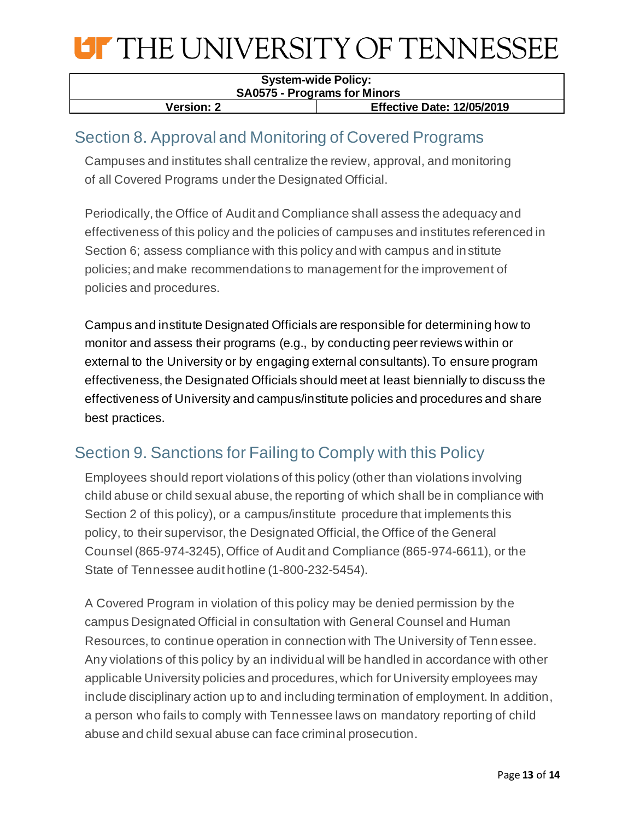

| <b>System-wide Policy:</b>                             |  |
|--------------------------------------------------------|--|
| <b>SA0575 - Programs for Minors</b>                    |  |
| <b>Effective Date: 12/05/2019</b><br><b>Version: 2</b> |  |

### Section 8. Approval and Monitoring of Covered Programs

Campuses and institutes shall centralize the review, approval, and monitoring of all Covered Programs under the Designated Official.

Periodically, the Office of Audit and Compliance shall assess the adequacy and effectiveness of this policy and the policies of campuses and institutes referenced in Section 6; assess compliance with this policy and with campus and institute policies; and make recommendations to management for the improvement of policies and procedures.

Campus and institute Designated Officials are responsible for determining how to monitor and assess their programs (e.g., by conducting peer reviews within or external to the University or by engaging external consultants). To ensure program effectiveness, the Designated Officials should meet at least biennially to discuss the effectiveness of University and campus/institute policies and procedures and share best practices.

### Section 9. Sanctions for Failing to Comply with this Policy

Employees should report violations of this policy (other than violations involving child abuse or child sexual abuse, the reporting of which shall be in compliance with Section 2 of this policy), or a campus/institute procedure that implements this policy, to their supervisor, the Designated Official, the Office of the General Counsel (865-974-3245), Office of Audit and Compliance (865-974-6611), or the State of Tennessee audit hotline (1-800-232-5454).

A Covered Program in violation of this policy may be denied permission by the campus Designated Official in consultation with General Counsel and Human Resources, to continue operation in connection with The University of Tenn essee. Any violations of this policy by an individual will be handled in accordance with other applicable University policies and procedures, which for University employees may include disciplinary action up to and including termination of employment. In addition, a person who fails to comply with Tennessee laws on mandatory reporting of child abuse and child sexual abuse can face criminal prosecution.